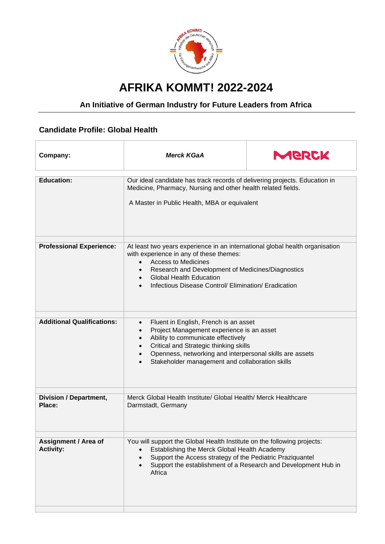

## **AFRIKA KOMMT! 2022-2024**

## **An Initiative of German Industry for Future Leaders from Africa**

## **Candidate Profile: Global Health**

| Company:                                        | <b>Merck KGaA</b>                                                                                                                                                                                                                                                                                                              | MERCK |
|-------------------------------------------------|--------------------------------------------------------------------------------------------------------------------------------------------------------------------------------------------------------------------------------------------------------------------------------------------------------------------------------|-------|
| <b>Education:</b>                               | Our ideal candidate has track records of delivering projects. Education in<br>Medicine, Pharmacy, Nursing and other health related fields.<br>A Master in Public Health, MBA or equivalent                                                                                                                                     |       |
| <b>Professional Experience:</b>                 | At least two years experience in an international global health organisation<br>with experience in any of these themes:<br><b>Access to Medicines</b><br>$\bullet$<br>Research and Development of Medicines/Diagnostics<br><b>Global Health Education</b><br>$\bullet$<br>Infectious Disease Control/ Elimination/ Eradication |       |
| <b>Additional Qualifications:</b>               | Fluent in English, French is an asset<br>$\bullet$<br>Project Management experience is an asset<br>$\bullet$<br>Ability to communicate effectively<br>$\bullet$<br>Critical and Strategic thinking skills<br>Openness, networking and interpersonal skills are assets<br>Stakeholder management and collaboration skills       |       |
| <b>Division / Department,</b><br>Place:         | Merck Global Health Institute/ Global Health/ Merck Healthcare<br>Darmstadt, Germany                                                                                                                                                                                                                                           |       |
| <b>Assignment / Area of</b><br><b>Activity:</b> | You will support the Global Health Institute on the following projects:<br>Establishing the Merck Global Health Academy<br>Support the Access strategy of the Pediatric Praziquantel<br>Support the establishment of a Research and Development Hub in<br>Africa                                                               |       |